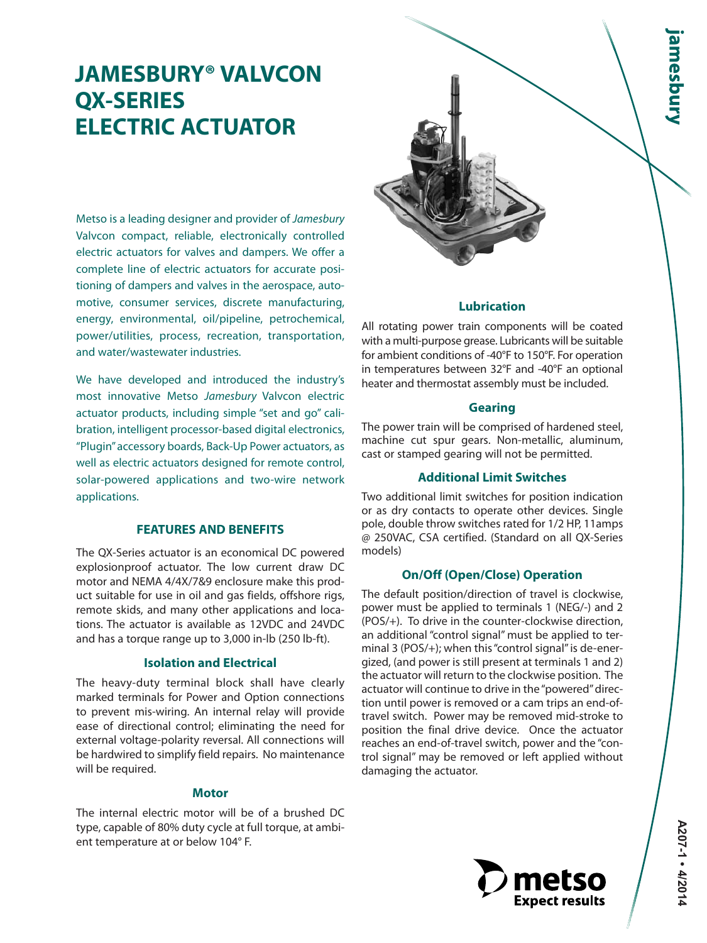# **JAMESBURY® VALVCON QX-SERIES ELECTRIC ACTUATOR**

Metso is a leading designer and provider of Jamesbury Valvcon compact, reliable, electronically controlled electric actuators for valves and dampers. We offer a complete line of electric actuators for accurate positioning of dampers and valves in the aerospace, automotive, consumer services, discrete manufacturing, energy, environmental, oil/pipeline, petrochemical, power/utilities, process, recreation, transportation, and water/wastewater industries.

We have developed and introduced the industry's most innovative Metso Jamesbury Valvcon electric actuator products, including simple "set and go" calibration, intelligent processor-based digital electronics, "Plugin" accessory boards, Back-Up Power actuators, as well as electric actuators designed for remote control, solar-powered applications and two-wire network applications.

# **FEATURES AND BENEFITS**

The QX-Series actuator is an economical DC powered explosionproof actuator. The low current draw DC motor and NEMA 4/4X/7&9 enclosure make this product suitable for use in oil and gas fields, offshore rigs, remote skids, and many other applications and locations. The actuator is available as 12VDC and 24VDC and has a torque range up to 3,000 in-lb (250 lb-ft).

#### **Isolation and Electrical**

The heavy-duty terminal block shall have clearly marked terminals for Power and Option connections to prevent mis-wiring. An internal relay will provide ease of directional control; eliminating the need for external voltage-polarity reversal. All connections will be hardwired to simplify field repairs. No maintenance will be required.

# **Motor**

The internal electric motor will be of a brushed DC type, capable of 80% duty cycle at full torque, at ambient temperature at or below 104° F.



### **Lubrication**

All rotating power train components will be coated with a multi-purpose grease. Lubricants will be suitable for ambient conditions of -40°F to 150°F. For operation in temperatures between 32°F and -40°F an optional heater and thermostat assembly must be included.

#### **Gearing**

The power train will be comprised of hardened steel, machine cut spur gears. Non-metallic, aluminum, cast or stamped gearing will not be permitted.

# **Additional Limit Switches**

Two additional limit switches for position indication or as dry contacts to operate other devices. Single pole, double throw switches rated for 1/2 HP, 11amps @ 250VAC, CSA certified. (Standard on all QX-Series models)

# **On/Off (Open/Close) Operation**

The default position/direction of travel is clockwise, power must be applied to terminals 1 (NEG/-) and 2 (POS/+). To drive in the counter-clockwise direction, an additional "control signal" must be applied to terminal 3 (POS/+); when this "control signal" is de-energized, (and power is still present at terminals 1 and 2) the actuator will return to the clockwise position. The actuator will continue to drive in the "powered" direction until power is removed or a cam trips an end-oftravel switch. Power may be removed mid-stroke to position the final drive device. Once the actuator reaches an end-of-travel switch, power and the "control signal" may be removed or left applied without damaging the actuator.

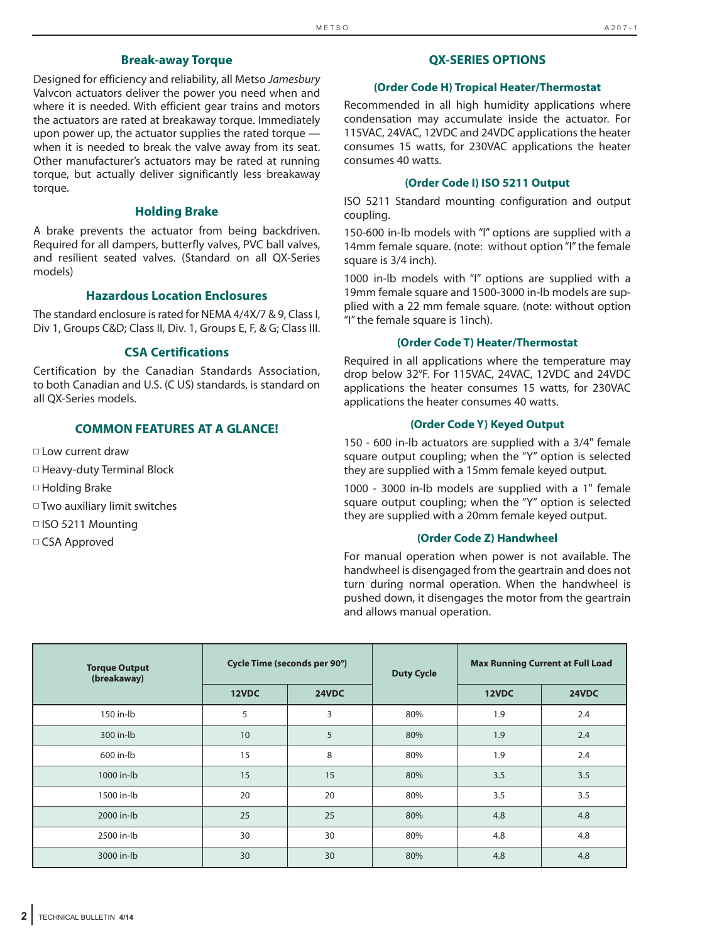# **Break-away Torque**

Designed for efficiency and reliability, all Metso Jamesbury Valvcon actuators deliver the power you need when and where it is needed. With efficient gear trains and motors the actuators are rated at breakaway torque. Immediately upon power up, the actuator supplies the rated torque when it is needed to break the valve away from its seat. Other manufacturer's actuators may be rated at running torque, but actually deliver significantly less breakaway torque.

# **Holding Brake**

A brake prevents the actuator from being backdriven. Required for all dampers, butterfly valves, PVC ball valves, and resilient seated valves. (Standard on all QX-Series models)

# **Hazardous Location Enclosures**

The standard enclosure is rated for NEMA 4/4X/7 & 9, Class I, Div 1, Groups C&D; Class II, Div. 1, Groups E, F, & G; Class III.

# **CSA Certifications**

Certification by the Canadian Standards Association, to both Canadian and U.S. (C US) standards, is standard on all QX-Series models.

# **COMMON FEATURES AT A GLANCE!**

■ Low current draw

■ Heavy-duty Terminal Block

■ Holding Brake

■ Two auxiliary limit switches

■ ISO 5211 Mounting

□ CSA Approved

#### **QX-SERIES OPTIONS**

#### **(Order Code H) Tropical Heater/Thermostat**

Recommended in all high humidity applications where condensation may accumulate inside the actuator. For 115VAC, 24VAC, 12VDC and 24VDC applications the heater consumes 15 watts, for 230VAC applications the heater consumes 40 watts.

#### **(Order Code I) ISO 5211 Output**

ISO 5211 Standard mounting configuration and output coupling.

150-600 in-lb models with "I" options are supplied with a 14mm female square. (note: without option "I" the female square is 3/4 inch).

1000 in-lb models with "I" options are supplied with a 19mm female square and 1500-3000 in-lb models are supplied with a 22 mm female square. (note: without option "I" the female square is 1inch).

#### **(Order Code T) Heater/Thermostat**

Required in all applications where the temperature may drop below 32°F. For 115VAC, 24VAC, 12VDC and 24VDC applications the heater consumes 15 watts, for 230VAC applications the heater consumes 40 watts.

#### **(Order Code Y) Keyed Output**

150 - 600 in-lb actuators are supplied with a 3/4" female square output coupling; when the "Y" option is selected they are supplied with a 15mm female keyed output.

1000 - 3000 in-lb models are supplied with a 1" female square output coupling; when the "Y" option is selected they are supplied with a 20mm female keyed output.

#### **(Order Code Z) Handwheel**

For manual operation when power is not available. The handwheel is disengaged from the geartrain and does not turn during normal operation. When the handwheel is pushed down, it disengages the motor from the geartrain and allows manual operation.

| <b>Torque Output</b><br>(breakaway) | Cycle Time (seconds per 90°) |       | <b>Duty Cycle</b> | <b>Max Running Current at Full Load</b> |       |
|-------------------------------------|------------------------------|-------|-------------------|-----------------------------------------|-------|
|                                     | 12VDC                        | 24VDC |                   | 12VDC                                   | 24VDC |
| 150 in-lb                           | 5                            | 3     | 80%               | 1.9                                     | 2.4   |
| 300 in-lb                           | 10                           | 5     | 80%               | 1.9                                     | 2.4   |
| 600 in-lb                           | 15                           | 8     | 80%               | 1.9                                     | 2.4   |
| 1000 in-lb                          | 15                           | 15    | 80%               | 3.5                                     | 3.5   |
| 1500 in-lb                          | 20                           | 20    | 80%               | 3.5                                     | 3.5   |
| 2000 in-lb                          | 25                           | 25    | 80%               | 4.8                                     | 4.8   |
| 2500 in-lb                          | 30                           | 30    | 80%               | 4.8                                     | 4.8   |
| 3000 in-lb                          | 30                           | 30    | 80%               | 4.8                                     | 4.8   |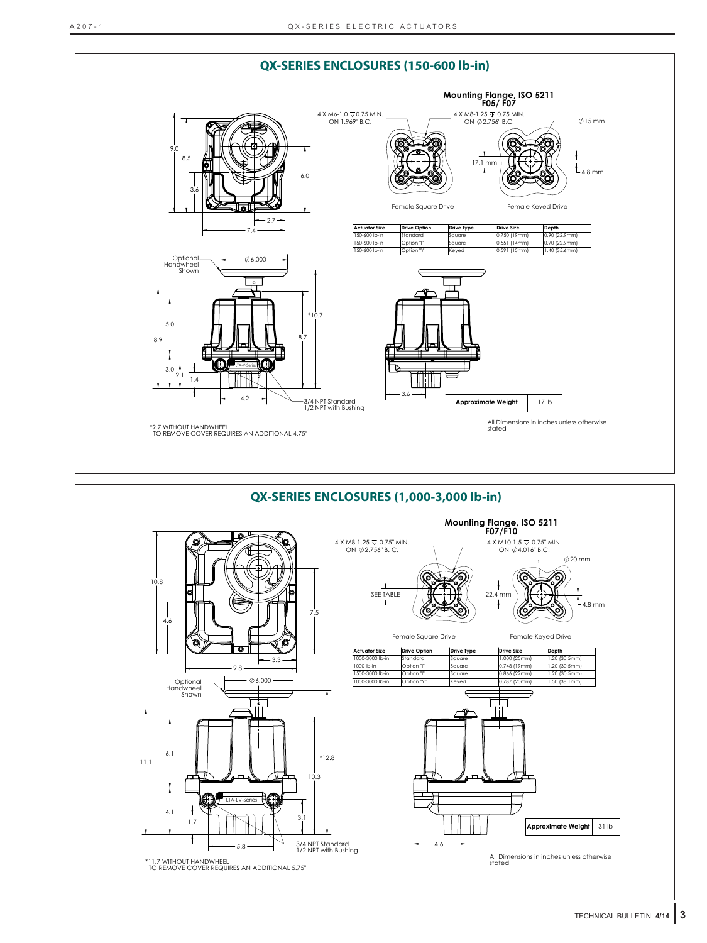

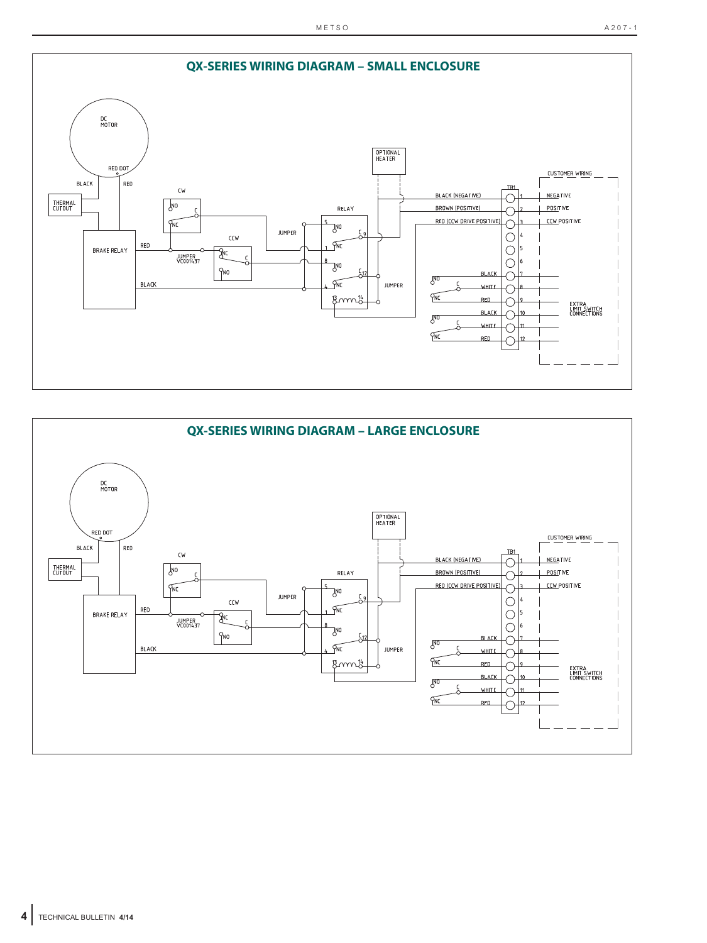

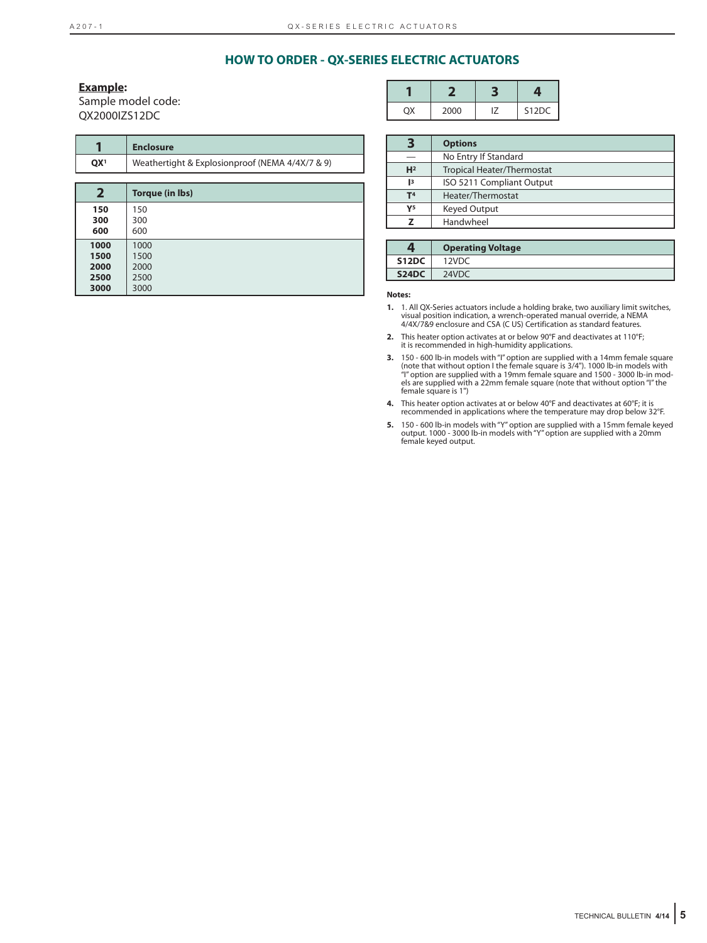## **HOW TO ORDER - QX-SERIES ELECTRIC ACTUATORS**

#### **Example:**

Sample model code: QX2000IZS12DC

|                                      | <b>Enclosure</b>                                |
|--------------------------------------|-------------------------------------------------|
| QX <sup>1</sup>                      | Weathertight & Explosionproof (NEMA 4/4X/7 & 9) |
|                                      |                                                 |
| $\mathbf{2}$                         | Torque (in Ibs)                                 |
| 150<br>300<br>600                    | 150<br>300<br>600                               |
| 1000<br>1500<br>2000<br>2500<br>3000 | 1000<br>1500<br>2000<br>2500<br>3000            |

| 2000 | S12DC |
|------|-------|

|                | <b>Options</b>             |
|----------------|----------------------------|
|                | No Entry If Standard       |
| H <sup>2</sup> | Tropical Heater/Thermostat |
| $^{13}$        | ISO 5211 Compliant Output  |
| T <sub>4</sub> | Heater/Thermostat          |
| Y <sub>5</sub> | Keyed Output               |
|                | Handwheel                  |

|       | <b>Operating Voltage</b> |
|-------|--------------------------|
| S12DC | 12VDC                    |
| S24DC | 24VDC                    |

**Notes:**

- **1.** 1. All QX-Series actuators include a holding brake, two auxiliary limit switches, visual position indication, a wrench-operated manual override, a NEMA 4/4X/7&9 enclosure and CSA (C US) Certification as standard features.
- **2.** This heater option activates at or below 90°F and deactivates at 110°F; it is recommended in high-humidity applications.
- 3. 150 600 lb-in models with "I" option are supplied with a 14mm female square<br>(note that without option I the female square is 3/4"). 1000 lb-in models with<br>foption are supplied with a 19mm female square and 1500 3000 els are supplied with a 22mm female square (note that without option "I" the female square is 1")
- **4.** This heater option activates at or below 40°F and deactivates at 60°F; it is recommended in applications where the temperature may drop below 32°F.
- **5.** 150 600 lb-in models with "Y" option are supplied with a 15mm female keyed<br>output. 1000 3000 lb-in models with "Y" option are supplied with a 20mm<br>female keyed output.